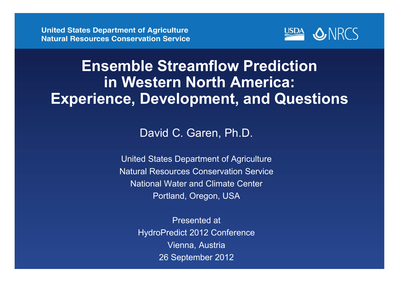

#### Ensemble Streamflow Predictionin Western North America:Experience, Development, and Questions

David C. Garen, Ph.D.

United States Department of AgricultureNatural Resources Conservation ServiceNational Water and Climate CenterPortland, Oregon, USA

> Presented atHydroPredict 2012 ConferenceVienna, Austria26 September 2012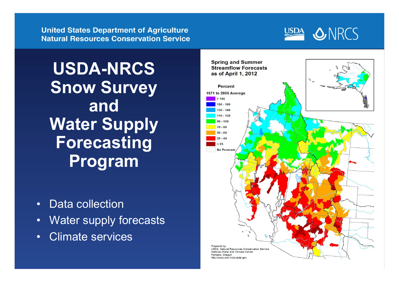

USDA-NRCS **Snow Survey** andWater Supply **Forecasting** Program

- Data collection
- Water supply forecasts
- •Climate services

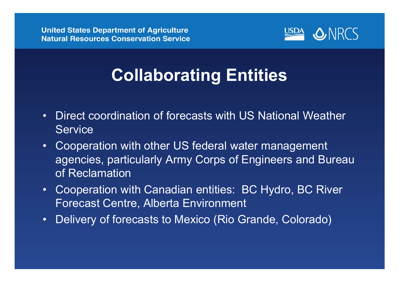

# Collaborating Entities

- • Direct coordination of forecasts with US National Weather **Service**
- • Cooperation with other US federal water management agencies, particularly Army Corps of Engineers and Bureau of Reclamation
- • Cooperation with Canadian entities: BC Hydro, BC River Forecast Centre, Alberta Environment
- •Delivery of forecasts to Mexico (Rio Grande, Colorado)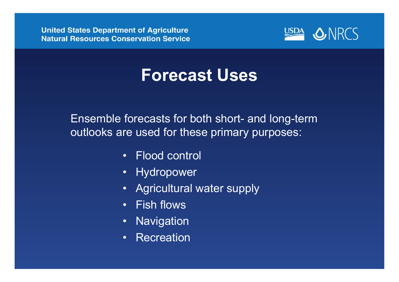

#### Forecast Uses

Ensemble forecasts for both short- and long-term outlooks are used for these primary purposes:

- Flood control
- Hydropower
- •Agricultural water supply
- Fish flows
- Navigation
- •**Recreation**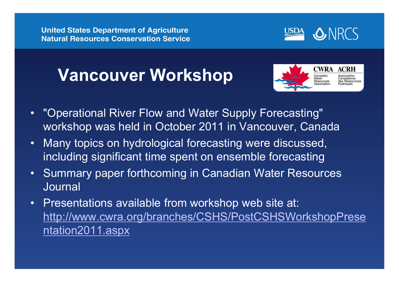

# Vancouver Workshop



- $\bullet$  "Operational River Flow and Water Supply Forecasting" workshop was held in October 2011 in Vancouver, Canada
- $\bullet$  Many topics on hydrological forecasting were discussed, including significant time spent on ensemble forecasting
- • Summary paper forthcoming in Canadian Water Resources **Journal**
- $\bullet$  Presentations available from workshop web site at: http://www.cwra.org/branches/CSHS/PostCSHSWorkshopPresentation2011.aspx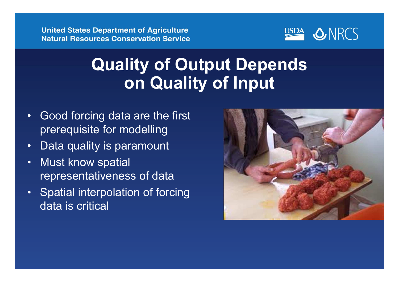

## Quality of Output Dependson Quality of Input

- • Good forcing data are the first prerequisite for modelling
- •Data quality is paramount
- • Must know spatial representativeness of data
- • Spatial interpolation of forcing data is critical

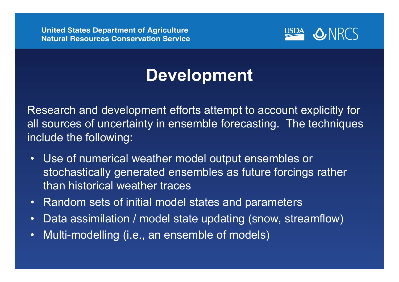

## Development

Research and development efforts attempt to account explicitly for all sources of uncertainty in ensemble forecasting. The techniques include the following:

- • Use of numerical weather model output ensembles or stochastically generated ensembles as future forcings rather than historical weather traces
- $\bullet$ Random sets of initial model states and parameters
- $\bullet$ Data assimilation / model state updating (snow, streamflow)
- •Multi-modelling (i.e., an ensemble of models)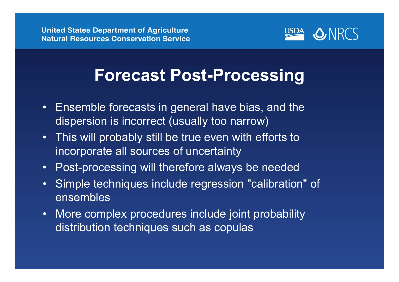

## Forecast Post-Processing

- • Ensemble forecasts in general have bias, and the dispersion is incorrect (usually too narrow)
- This will probably still be true even with efforts to incorporate all sources of uncertainty
- •Post-processing will therefore always be needed
- • Simple techniques include regression "calibration" of ensembles
- • More complex procedures include joint probability distribution techniques such as copulas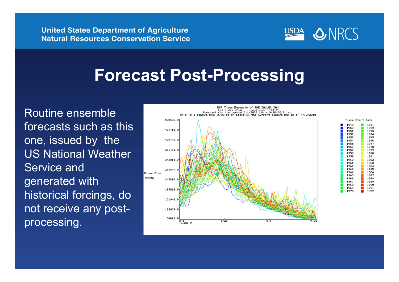

### Forecast Post-Processing

Routine ensemble forecasts such as this one, issued by the US National Weather Service and generated with historical forcings, do not receive any postprocessing.

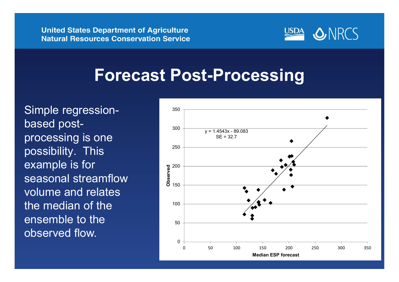

### Forecast Post-Processing

Simple regressionbased postprocessing is one possibility. This example is for seasonal streamflow volume and relates the median of the ensemble to the observed flow.

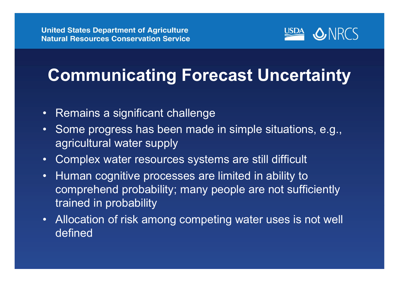

# Communicating Forecast Uncertainty

- •Remains a significant challenge
- • Some progress has been made in simple situations, e.g., agricultural water supply
- •Complex water resources systems are still difficult
- • Human cognitive processes are limited in ability to comprehend probability; many people are not sufficiently trained in probability
- • Allocation of risk among competing water uses is not well defined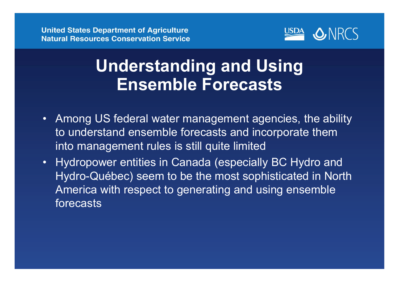

#### Understanding and UsingEnsemble Forecasts

- Among US federal water management agencies, the ability to understand ensemble forecasts and incorporate them into management rules is still quite limited
- • Hydropower entities in Canada (especially BC Hydro and Hydro-Québec) seem to be the most sophisticated in North America with respect to generating and using ensemble forecasts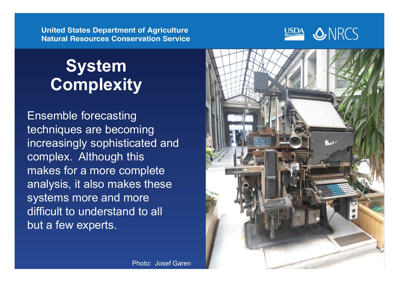

### System **Complexity**

Ensemble forecasting techniques are becoming increasingly sophisticated and complex. Although this makes for a more complete analysis, it also makes these systems more and more difficult to understand to all but a few experts.



Photo: Josef Garen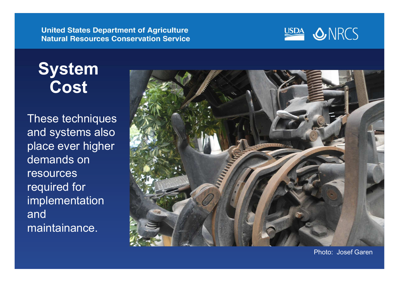

#### System **Cost**

These techniques and systems also place ever higher demands on **resources** required for implementation and maintainance.



Photo: Josef Garen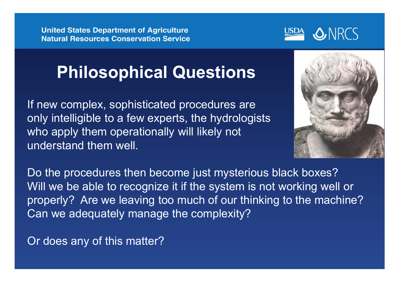## Philosophical Questions

If new complex, sophisticated procedures are only intelligible to a few experts, the hydrologists who apply them operationally will likely not understand them well.

Do the procedures then become just mysterious black boxes? Will we be able to recognize it if the system is not working well or properly? Are we leaving too much of our thinking to the machine? Can we adequately manage the complexity?

Or does any of this matter?





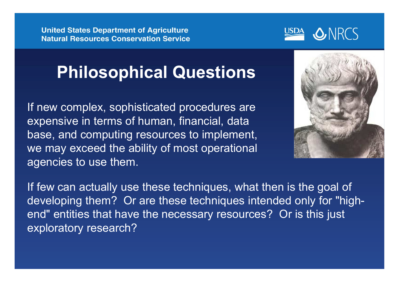## Philosophical Questions

If new complex, sophisticated procedures are expensive in terms of human, financial, data base, and computing resources to implement, we may exceed the ability of most operational agencies to use them.

If few can actually use these techniques, what then is the goal of developing them? Or are these techniques intended only for "highend" entities that have the necessary resources? Or is this just exploratory research?



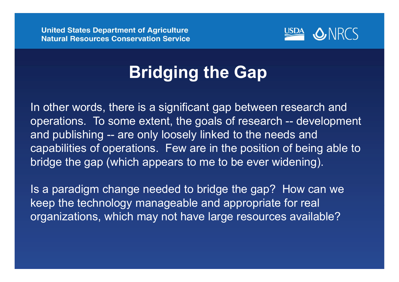

### Bridging the Gap

In other words, there is a significant gap between research and operations. To some extent, the goals of research -- development and publishing -- are only loosely linked to the needs and capabilities of operations. Few are in the position of being able to bridge the gap (which appears to me to be ever widening).

Is a paradigm change needed to bridge the gap? How can we keep the technology manageable and appropriate for real organizations, which may not have large resources available?